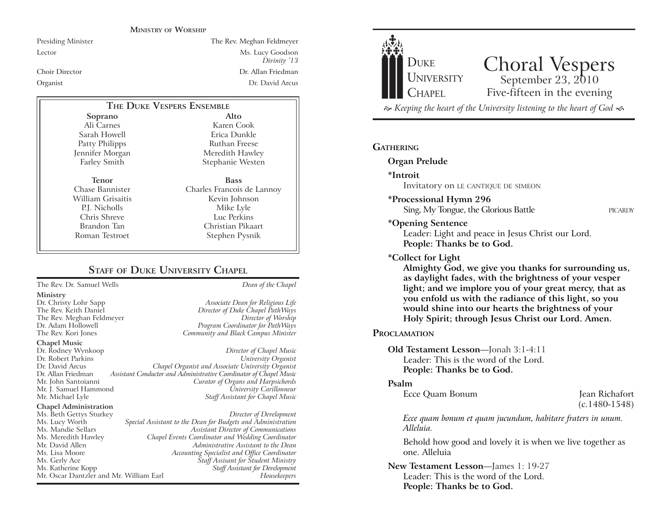#### **MINISTRY OF WORSHIP**

## Presiding Minister The Rev. Meghan Feldmeyer Lector Ms. Lucy Goodson *Divinity* '13 Choir Director Dr. Allan Friedman Organist Dr. David Arcus

# **THE DUKE VESPERS ENSEMBLE**

**Soprano** Ali Carnes Sarah Howell Patty Philipps Jennifer Morgan Farley Smith

**Tenor** Chase Bannister William Grisaitis P.J. Nicholls Chris Shreve Brandon Tan Roman Testroet

**Alto** Karen Cook Erica Dunkle Ruthan Freese Meredith Hawley Stephanie Westen **Bass** Charles Francois de Lannoy

Kevin Johnson Mike Lyle Luc Perkins Christian Pikaart Stephen Pysnik

# **STAFF OF DUKE UNIVERSITY CHAPEL**

The Rev. Dr. Samuel Wells *Dean of the Chapel*

#### **Ministry**

#### **Chapel Music**

Dr. Rodney Wynkoop *Director of Chapel Music* Dr. Robert Parkins<br>Dr. David Arcus Dr. Allan Friedman *Assistant Conductor and Administrative Coordinator of Chapel Music* Mr. John Santoianni *Curator of Organs and Harpsichords* Mr. J. Samuel Hammond *University Carillonneur* Mr. Michael Lyle *Staff Assistant for Chapel Music*

#### **Chapel Administration**

Ms. Beth Gettys Sturkey *Director of Development* Ms. Lucy Worth *Special Assistant to the Dean for Budgets and Administration* Ms. Mandie Sellars *Assistant Director of Communications* Ms. Meredith Hawley *Chapel Events Coordinator and Wedding Coordinator* Ms. Lisa Moore *Accounting Specialist and Office Coordinator* Ms. Gerly Ace *Staff Assisant for Student Ministry* Mr. Oscar Dantzler and Mr. William Earl *Housekeepers*

Dr. Christy Lohr Sapp *Associate Dean for Religious Life* Director of Duke Chapel PathWays The Rev. Meghan Feldmeyer *Director of Worship* Dr. Adam Hollowell *Program Coordinator for PathWays* The Rev. Kori Jones *Community and Black Campus Minister*

Dr. David Arcus *Chapel Organist and Associate University Organist*

# Mr. David Allen *Administrative Assistant to the Dean* Staff Assistant for Development



 $\approx$  Keeping the heart of the University listening to the heart of God  $\ll$ 

#### **GATHERING**

#### **Organ Prelude**

**\*Introit** 

Invitatory on LE CANTIQUE DE SIMEON

#### **\*Processional Hymn 296**

Sing, My Tongue, the Glorious Battle PICARDY

#### **\*Opening Sentence**

Leader: Light and peace in Jesus Christ our Lord. **People: Thanks be to God.**

#### **\*Collect for Light**

**Almighty God, we give you thanks for surrounding us, as daylight fades, with the brightness of your vesper light; and we implore you of your great mercy, that as you enfold us with the radiance of this light, so you would shine into our hearts the brightness of your Holy Spirit; through Jesus Christ our Lord. Amen.** 

#### **PROCLAMATION**

#### **Old Testament Lesson**—Jonah 3:1-4:11 Leader: This is the word of the Lord. **People: Thanks be to God.**

#### **Psalm**

Ecce Quam Bonum Jean Richafort

(c.1480-1548)

*Ecce quam bonum et quam jucundum, habitare fraters in unum. Alleluia.*

Behold how good and lovely it is when we live together as one. Alleluia

**New Testament Lesson**-James 1: 19-27 Leader: This is the word of the Lord. **People: Thanks be to God.**